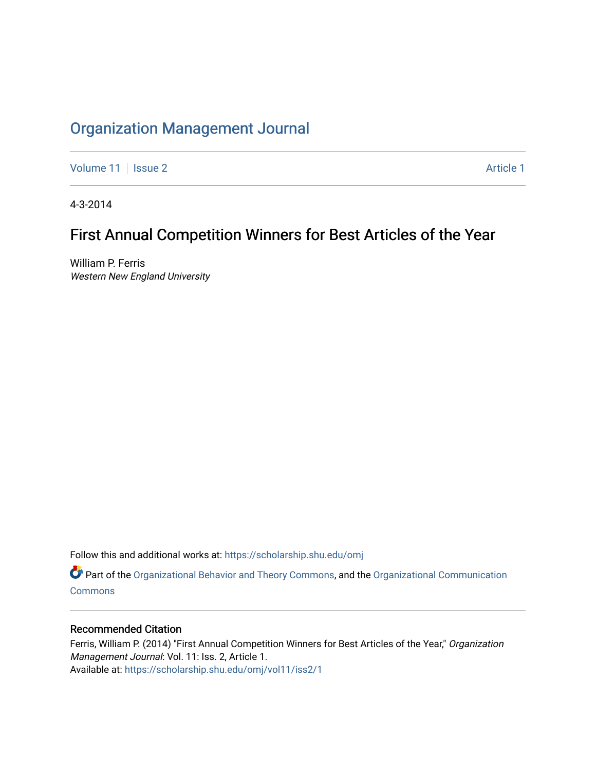## [Organization Management Journal](https://scholarship.shu.edu/omj)

[Volume 11](https://scholarship.shu.edu/omj/vol11) | [Issue 2](https://scholarship.shu.edu/omj/vol11/iss2) Article 1

4-3-2014

# First Annual Competition Winners for Best Articles of the Year

William P. Ferris Western New England University

Follow this and additional works at: [https://scholarship.shu.edu/omj](https://scholarship.shu.edu/omj?utm_source=scholarship.shu.edu%2Fomj%2Fvol11%2Fiss2%2F1&utm_medium=PDF&utm_campaign=PDFCoverPages) 

Part of the [Organizational Behavior and Theory Commons,](http://network.bepress.com/hgg/discipline/639?utm_source=scholarship.shu.edu%2Fomj%2Fvol11%2Fiss2%2F1&utm_medium=PDF&utm_campaign=PDFCoverPages) and the [Organizational Communication](http://network.bepress.com/hgg/discipline/335?utm_source=scholarship.shu.edu%2Fomj%2Fvol11%2Fiss2%2F1&utm_medium=PDF&utm_campaign=PDFCoverPages) **[Commons](http://network.bepress.com/hgg/discipline/335?utm_source=scholarship.shu.edu%2Fomj%2Fvol11%2Fiss2%2F1&utm_medium=PDF&utm_campaign=PDFCoverPages)** 

### Recommended Citation

Ferris, William P. (2014) "First Annual Competition Winners for Best Articles of the Year," Organization Management Journal: Vol. 11: Iss. 2, Article 1. Available at: [https://scholarship.shu.edu/omj/vol11/iss2/1](https://scholarship.shu.edu/omj/vol11/iss2/1?utm_source=scholarship.shu.edu%2Fomj%2Fvol11%2Fiss2%2F1&utm_medium=PDF&utm_campaign=PDFCoverPages)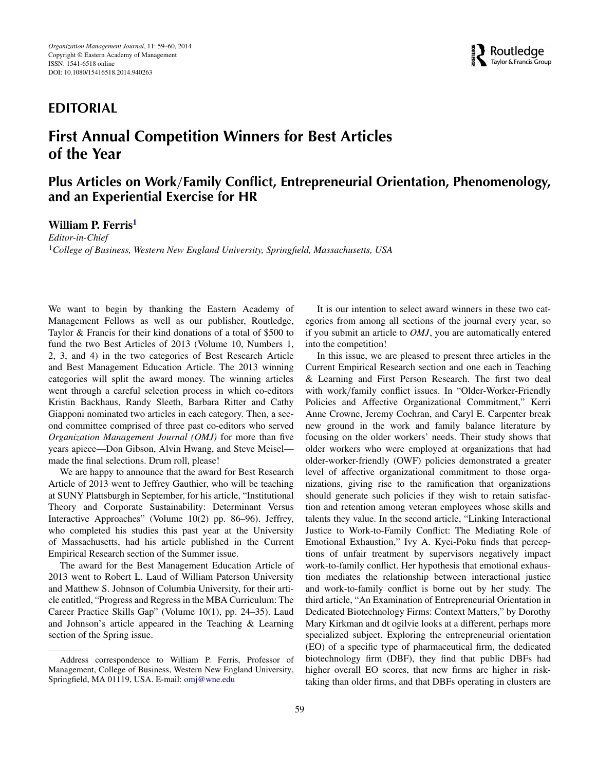### **EDITORIAL**

## **First Annual Competition Winners for Best Articles of the Year**

### **Plus Articles on Work***/***Family Conflict, Entrepreneurial Orientation, Phenomenology, and an Experiential Exercise for HR**

#### **William P. Ferris[1](#page-1-0)**

<span id="page-1-0"></span>*Editor-in-Chief* <sup>1</sup>*College of Business, Western New England University, Springfield, Massachusetts, USA*

We want to begin by thanking the Eastern Academy of Management Fellows as well as our publisher, Routledge, Taylor & Francis for their kind donations of a total of \$500 to fund the two Best Articles of 2013 (Volume 10, Numbers 1, 2, 3, and 4) in the two categories of Best Research Article and Best Management Education Article. The 2013 winning categories will split the award money. The winning articles went through a careful selection process in which co-editors Kristin Backhaus, Randy Sleeth, Barbara Ritter and Cathy Giapponi nominated two articles in each category. Then, a second committee comprised of three past co-editors who served *Organization Management Journal (OMJ)* for more than five years apiece—Don Gibson, Alvin Hwang, and Steve Meisel made the final selections. Drum roll, please!

We are happy to announce that the award for Best Research Article of 2013 went to Jeffrey Gauthier, who will be teaching at SUNY Plattsburgh in September, for his article, "Institutional Theory and Corporate Sustainability: Determinant Versus Interactive Approaches" (Volume 10(2) pp. 86–96). Jeffrey, who completed his studies this past year at the University of Massachusetts, had his article published in the Current Empirical Research section of the Summer issue.

The award for the Best Management Education Article of 2013 went to Robert L. Laud of William Paterson University and Matthew S. Johnson of Columbia University, for their article entitled, "Progress and Regress in the MBA Curriculum: The Career Practice Skills Gap" (Volume 10(1), pp. 24–35). Laud and Johnson's article appeared in the Teaching & Learning section of the Spring issue.

It is our intention to select award winners in these two categories from among all sections of the journal every year, so if you submit an article to *OMJ*, you are automatically entered into the competition!

In this issue, we are pleased to present three articles in the Current Empirical Research section and one each in Teaching & Learning and First Person Research. The first two deal with work*/*family conflict issues. In "Older-Worker-Friendly Policies and Affective Organizational Commitment," Kerri Anne Crowne, Jeremy Cochran, and Caryl E. Carpenter break new ground in the work and family balance literature by focusing on the older workers' needs. Their study shows that older workers who were employed at organizations that had older-worker-friendly (OWF) policies demonstrated a greater level of affective organizational commitment to those organizations, giving rise to the ramification that organizations should generate such policies if they wish to retain satisfaction and retention among veteran employees whose skills and talents they value. In the second article, "Linking Interactional Justice to Work-to-Family Conflict: The Mediating Role of Emotional Exhaustion," Ivy A. Kyei-Poku finds that perceptions of unfair treatment by supervisors negatively impact work-to-family conflict. Her hypothesis that emotional exhaustion mediates the relationship between interactional justice and work-to-family conflict is borne out by her study. The third article, "An Examination of Entrepreneurial Orientation in Dedicated Biotechnology Firms: Context Matters," by Dorothy Mary Kirkman and dt ogilvie looks at a different, perhaps more specialized subject. Exploring the entrepreneurial orientation (EO) of a specific type of pharmaceutical firm, the dedicated biotechnology firm (DBF), they find that public DBFs had higher overall EO scores, that new firms are higher in risktaking than older firms, and that DBFs operating in clusters are



Address correspondence to William P. Ferris, Professor of Management, College of Business, Western New England University, Springfield, MA 01119, USA. E-mail: omj@wne.edu